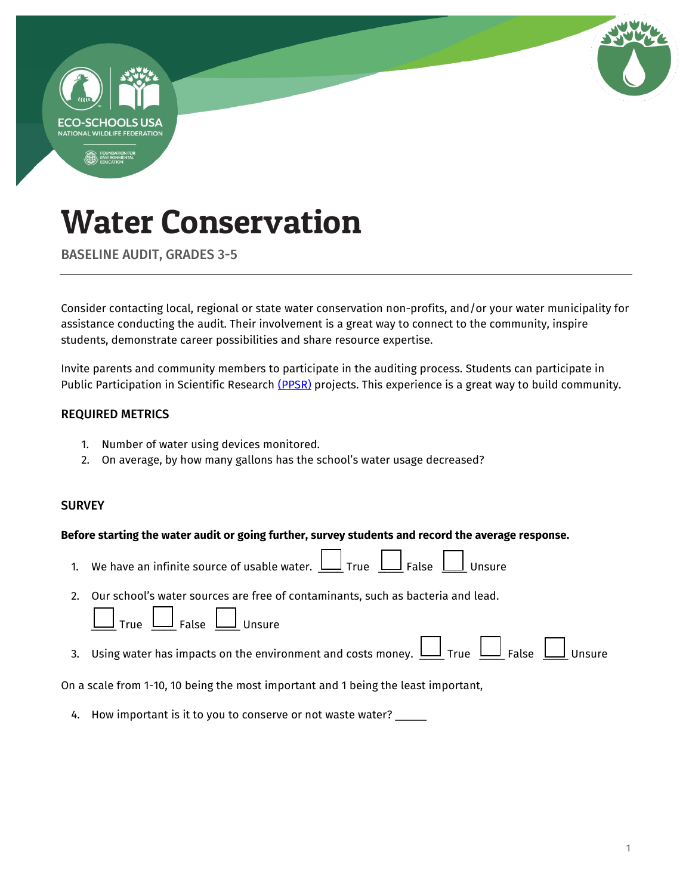

BASELINE AUDIT, GRADES 3-5

Consider contacting local, regional or state water conservation non-profits, and/or your water municipality for assistance conducting the audit. Their involvement is a great way to connect to the community, inspire students, demonstrate career possibilities and share resource expertise.

Invite parents and community members to participate in the auditing process. Students can participate in Public Participation in Scientific Research [\(PPSR\)](https://en.wikipedia.org/wiki/Citizen_science) projects. This experience is a great way to build community.

#### REQUIRED METRICS

- 1. Number of water using devices monitored.
- 2. On average, by how many gallons has the school's water usage decreased?

#### **SURVEY**

#### **Before starting the water audit or going further, survey students and record the average response.**

- 1. We have an infinite source of usable water.  $\Box$  True  $\Box$  False  $\Box$  Unsure
- 2. Our school's water sources are free of contaminants, such as bacteria and lead.

 $True \perp \text{False} \perp \text{Unsure}$ 

3. Using water has impacts on the environment and costs money.  $\Box$  True  $\Box$  False  $\Box$  Unsure

On a scale from 1-10, 10 being the most important and 1 being the least important,

4. How important is it to you to conserve or not waste water? \_\_\_\_\_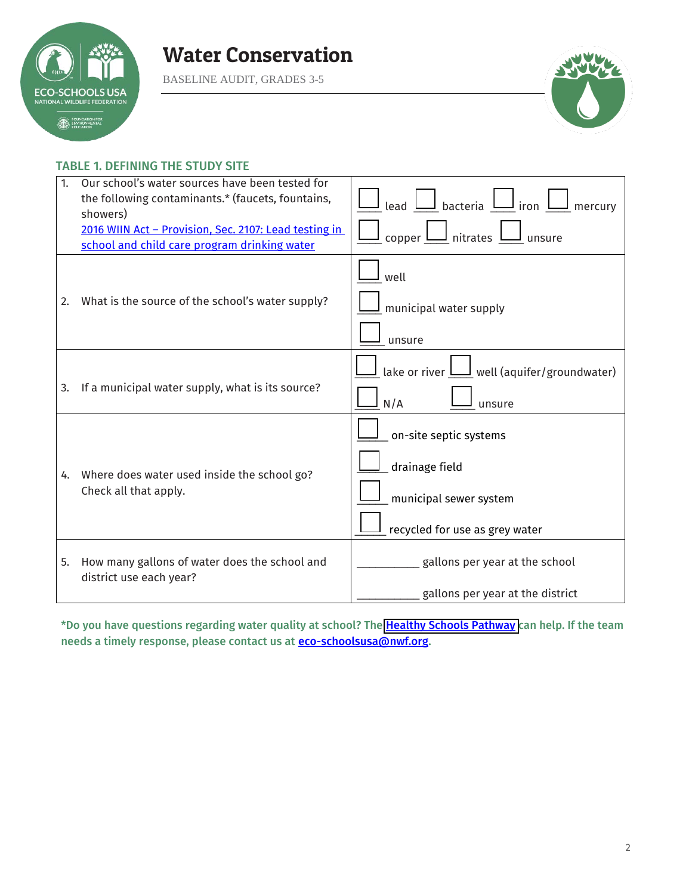

BASELINE AUDIT, GRADES 3-5



#### TABLE 1. DEFINING THE STUDY SITE

| 1. | Our school's water sources have been tested for<br>the following contaminants.* (faucets, fountains,<br>showers)<br>2016 WIIN Act - Provision, Sec. 2107: Lead testing in<br>school and child care program drinking water | lead $\bigsqcup$ bacteria $\bigsqcup$ iron $\bigsqcup$<br>mercury<br>copper $\boxed{\underline{\qquad}}$ nitrates $\boxed{\phantom{0}}$ unsure |
|----|---------------------------------------------------------------------------------------------------------------------------------------------------------------------------------------------------------------------------|------------------------------------------------------------------------------------------------------------------------------------------------|
| 2. | What is the source of the school's water supply?                                                                                                                                                                          | well<br>municipal water supply<br>unsure                                                                                                       |
| 3. | If a municipal water supply, what is its source?                                                                                                                                                                          | lake or river $\bigsqcup$ well (aquifer/groundwater)<br>N/A<br>unsure                                                                          |
| 4. | Where does water used inside the school go?<br>Check all that apply.                                                                                                                                                      | on-site septic systems<br>drainage field<br>municipal sewer system<br>recycled for use as grey water                                           |
| 5. | How many gallons of water does the school and<br>district use each year?                                                                                                                                                  | gallons per year at the school<br>gallons per year at the district                                                                             |

\*Do you have questions regarding water quality at school? The [Healthy Schools Pathway c](https://www.nwf.org/Eco-Schools-USA/Pathways/Healthy-Schools)an help. If the team needs a timely response, please contact us at **eco-schoolsusa@nwf.org**.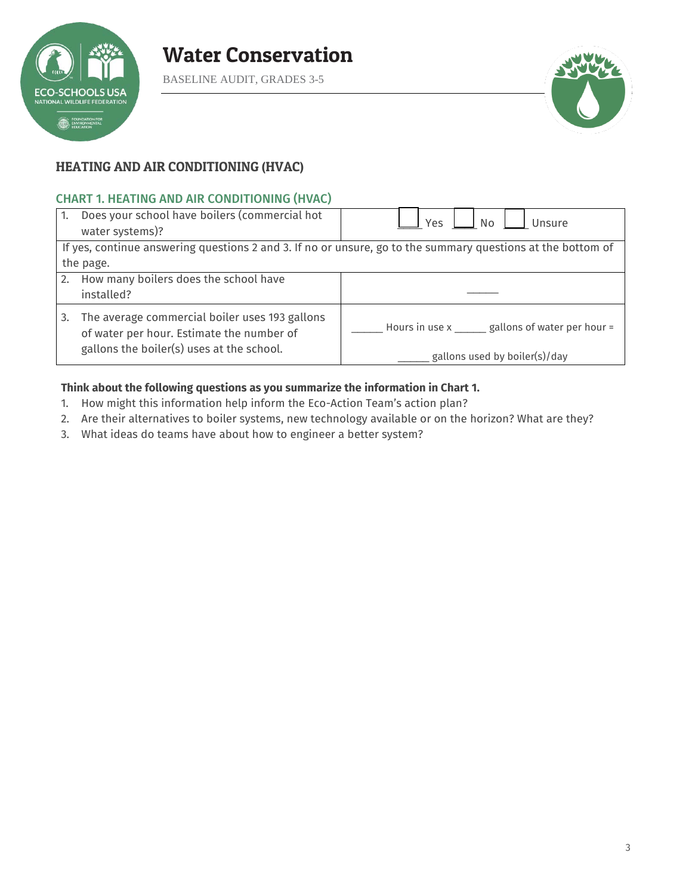

BASELINE AUDIT, GRADES 3-5



#### HEATING AND AIR CONDITIONING (HVAC)

#### CHART 1. HEATING AND AIR CONDITIONING (HVAC)

| 1.        | Does your school have boilers (commercial hot<br>water systems)?                            | Yes<br>l No<br>Unsure                                                                                       |  |  |  |  |  |  |  |  |
|-----------|---------------------------------------------------------------------------------------------|-------------------------------------------------------------------------------------------------------------|--|--|--|--|--|--|--|--|
|           |                                                                                             | If yes, continue answering questions 2 and 3. If no or unsure, go to the summary questions at the bottom of |  |  |  |  |  |  |  |  |
| the page. |                                                                                             |                                                                                                             |  |  |  |  |  |  |  |  |
| 2.        | How many boilers does the school have                                                       |                                                                                                             |  |  |  |  |  |  |  |  |
|           | installed?                                                                                  |                                                                                                             |  |  |  |  |  |  |  |  |
| 3.        | The average commercial boiler uses 193 gallons<br>of water per hour. Estimate the number of | Hours in use x _____ gallons of water per hour =                                                            |  |  |  |  |  |  |  |  |
|           | gallons the boiler(s) uses at the school.                                                   | gallons used by boiler(s)/day                                                                               |  |  |  |  |  |  |  |  |

#### **Think about the following questions as you summarize the information in Chart 1.**

- 1. How might this information help inform the Eco-Action Team's action plan?
- 2. Are their alternatives to boiler systems, new technology available or on the horizon? What are they?
- 3. What ideas do teams have about how to engineer a better system?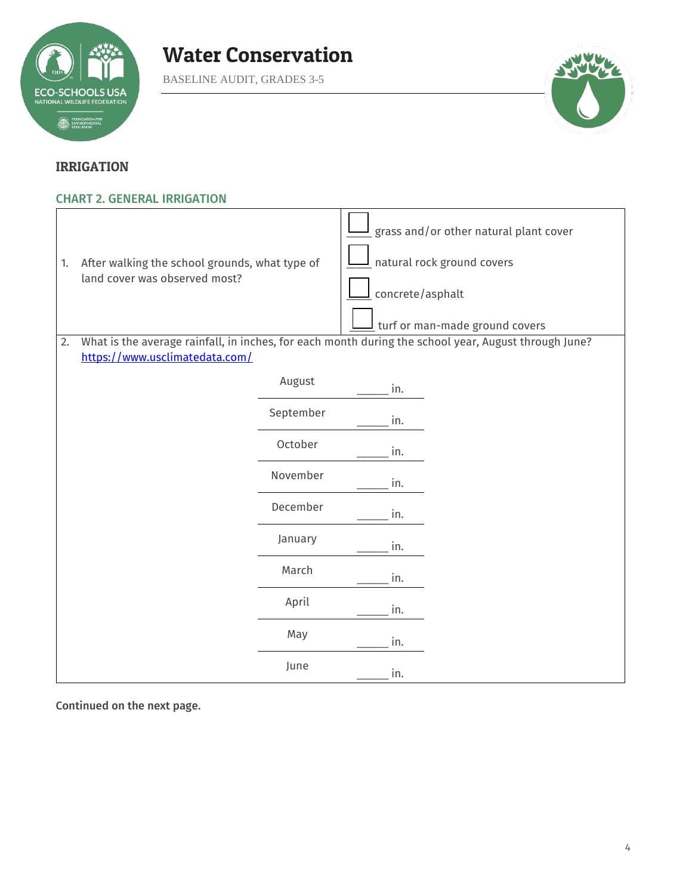

BASELINE AUDIT, GRADES 3-5



#### IRRIGATION

#### CHART 2. GENERAL IRRIGATION

| 1.                                                                                                                                           | After walking the school grounds, what type of<br>land cover was observed most? |           | concrete/asphalt | grass and/or other natural plant cover<br>natural rock ground covers<br>turf or man-made ground covers |  |  |  |  |  |  |
|----------------------------------------------------------------------------------------------------------------------------------------------|---------------------------------------------------------------------------------|-----------|------------------|--------------------------------------------------------------------------------------------------------|--|--|--|--|--|--|
| What is the average rainfall, in inches, for each month during the school year, August through June?<br>2.<br>https://www.usclimatedata.com/ |                                                                                 |           |                  |                                                                                                        |  |  |  |  |  |  |
|                                                                                                                                              |                                                                                 | August    | in.              |                                                                                                        |  |  |  |  |  |  |
|                                                                                                                                              |                                                                                 | September | in.              |                                                                                                        |  |  |  |  |  |  |
|                                                                                                                                              |                                                                                 | October   | in.              |                                                                                                        |  |  |  |  |  |  |
|                                                                                                                                              |                                                                                 | November  | in.              |                                                                                                        |  |  |  |  |  |  |
|                                                                                                                                              |                                                                                 | December  | in.              |                                                                                                        |  |  |  |  |  |  |
|                                                                                                                                              |                                                                                 | January   | in.              |                                                                                                        |  |  |  |  |  |  |
|                                                                                                                                              |                                                                                 | March     | in.              |                                                                                                        |  |  |  |  |  |  |
|                                                                                                                                              |                                                                                 | April     | in.              |                                                                                                        |  |  |  |  |  |  |
|                                                                                                                                              |                                                                                 | May       | in.              |                                                                                                        |  |  |  |  |  |  |
|                                                                                                                                              |                                                                                 | June      | in.              |                                                                                                        |  |  |  |  |  |  |

Continued on the next page.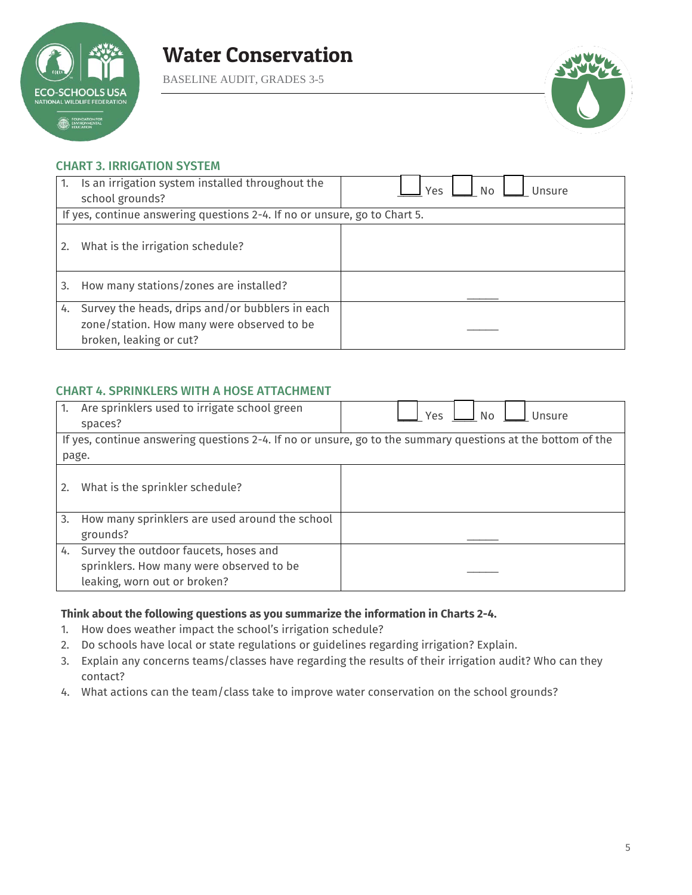

BASELINE AUDIT, GRADES 3-5



#### CHART 3. IRRIGATION SYSTEM

| 1. | Is an irrigation system installed throughout the<br>school grounds?                                                      | Yes<br>No.<br>Unsure |  |  |  |  |  |  |  |  |
|----|--------------------------------------------------------------------------------------------------------------------------|----------------------|--|--|--|--|--|--|--|--|
|    | If yes, continue answering questions 2-4. If no or unsure, go to Chart 5.                                                |                      |  |  |  |  |  |  |  |  |
| 2. | What is the irrigation schedule?                                                                                         |                      |  |  |  |  |  |  |  |  |
| 3. | How many stations/zones are installed?                                                                                   |                      |  |  |  |  |  |  |  |  |
| 4. | Survey the heads, drips and/or bubblers in each<br>zone/station. How many were observed to be<br>broken, leaking or cut? |                      |  |  |  |  |  |  |  |  |

#### CHART 4. SPRINKLERS WITH A HOSE ATTACHMENT

| 1. | Are sprinklers used to irrigate school green<br>spaces?                                                     | Yes<br>No<br>Unsure |  |  |  |  |  |  |  |  |
|----|-------------------------------------------------------------------------------------------------------------|---------------------|--|--|--|--|--|--|--|--|
|    | If yes, continue answering questions 2-4. If no or unsure, go to the summary questions at the bottom of the |                     |  |  |  |  |  |  |  |  |
|    | page.                                                                                                       |                     |  |  |  |  |  |  |  |  |
| 2. | What is the sprinkler schedule?                                                                             |                     |  |  |  |  |  |  |  |  |
| 3. | How many sprinklers are used around the school                                                              |                     |  |  |  |  |  |  |  |  |
|    | grounds?                                                                                                    |                     |  |  |  |  |  |  |  |  |
| 4. | Survey the outdoor faucets, hoses and                                                                       |                     |  |  |  |  |  |  |  |  |
|    | sprinklers. How many were observed to be                                                                    |                     |  |  |  |  |  |  |  |  |
|    | leaking, worn out or broken?                                                                                |                     |  |  |  |  |  |  |  |  |

#### **Think about the following questions as you summarize the information in Charts 2-4.**

- 1. How does weather impact the school's irrigation schedule?
- 2. Do schools have local or state regulations or guidelines regarding irrigation? Explain.
- 3. Explain any concerns teams/classes have regarding the results of their irrigation audit? Who can they contact?
- 4. What actions can the team/class take to improve water conservation on the school grounds?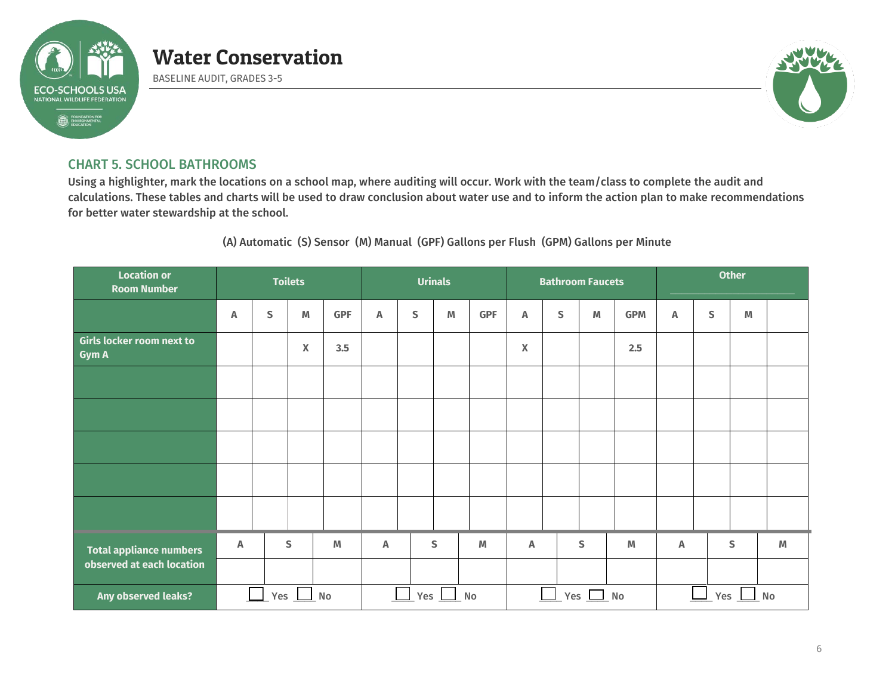

BASELINE AUDIT, GRADES 3-5



#### CHART 5. SCHOOL BATHROOMS

Using a highlighter, mark the locations on a school map, where auditing will occur. Work with the team/class to complete the audit and calculations. These tables and charts will be used to draw conclusion about water use and to inform the action plan to make recommendations for better water stewardship at the school.

(A) Automatic (S) Sensor (M) Manual (GPF) Gallons per Flush (GPM) Gallons per Minute

| <b>Location or</b><br><b>Room Number</b>         | <b>Toilets</b> |              |                           |            |                  |             | <b>Urinals</b> |            |   | <b>Bathroom Faucets</b> |               |            | <b>Other</b>   |   |              |   |  |
|--------------------------------------------------|----------------|--------------|---------------------------|------------|------------------|-------------|----------------|------------|---|-------------------------|---------------|------------|----------------|---|--------------|---|--|
|                                                  | Α              | S            | M                         | <b>GPF</b> | Α                | $\mathsf S$ | $\mathbb M$    | <b>GPF</b> | A | $\mathsf S$             | M             | <b>GPM</b> | Α              | S | M            |   |  |
| <b>Girls locker room next to</b><br><b>Gym A</b> |                |              | $\boldsymbol{\mathsf{X}}$ | 3.5        |                  |             |                |            | X |                         |               | 2.5        |                |   |              |   |  |
|                                                  |                |              |                           |            |                  |             |                |            |   |                         |               |            |                |   |              |   |  |
|                                                  |                |              |                           |            |                  |             |                |            |   |                         |               |            |                |   |              |   |  |
|                                                  |                |              |                           |            |                  |             |                |            |   |                         |               |            |                |   |              |   |  |
|                                                  |                |              |                           |            |                  |             |                |            |   |                         |               |            |                |   |              |   |  |
|                                                  |                |              |                           |            |                  |             |                |            |   |                         |               |            |                |   |              |   |  |
| <b>Total appliance numbers</b>                   | Α              |              | S                         | M          | A                |             | S              | M          | Α |                         | S             | M          | Α              |   | $\mathsf{s}$ | M |  |
| observed at each location                        |                |              |                           |            |                  |             |                |            |   |                         |               |            |                |   |              |   |  |
| Any observed leaks?                              |                | $Yes \tM$ No |                           |            | <b>Yes</b><br>No |             |                |            |   |                         | Yes $\Box$ No |            | $Yes \perp No$ |   |              |   |  |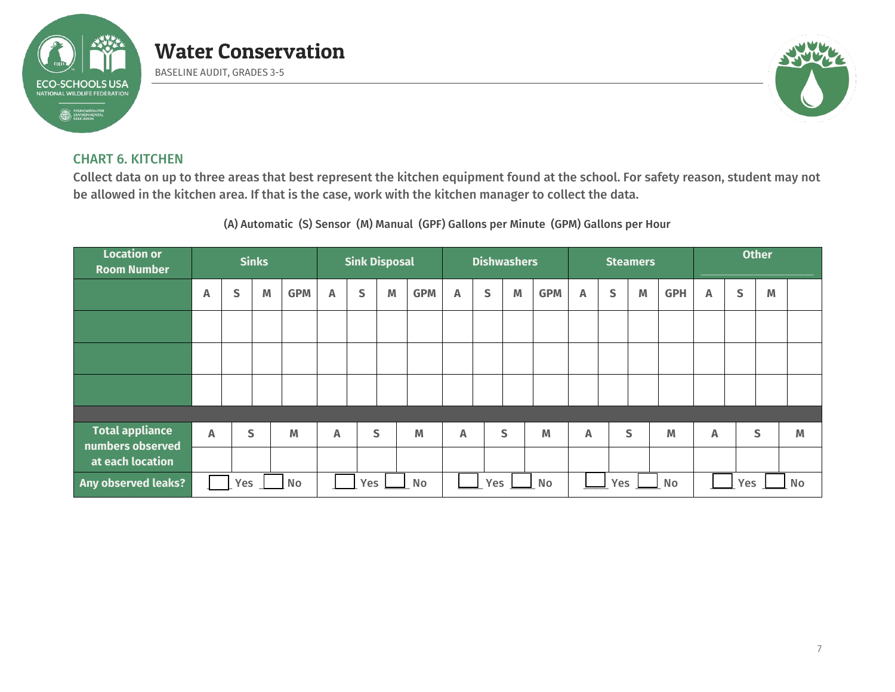

BASELINE AUDIT, GRADES 3-5



#### CHART 6. KITCHEN

Collect data on up to three areas that best represent the kitchen equipment found at the school. For safety reason, student may not be allowed in the kitchen area. If that is the case, work with the kitchen manager to collect the data.

(A) Automatic (S) Sensor (M) Manual (GPF) Gallons per Minute (GPM) Gallons per Hour

| <b>Location or</b><br><b>Room Number</b>   |   | <b>Sinks</b>     |   | <b>Sink Disposal</b> |                           |   |              |                  |   | <b>Dishwashers</b> |   |            |              | <b>Steamers</b> |   | <b>Other</b> |   |   |              |   |
|--------------------------------------------|---|------------------|---|----------------------|---------------------------|---|--------------|------------------|---|--------------------|---|------------|--------------|-----------------|---|--------------|---|---|--------------|---|
|                                            | Α | S                | M | <b>GPM</b>           | A                         | S | M            | <b>GPM</b>       | A | S                  | M | <b>GPM</b> | A            | S               | M | <b>GPH</b>   | A | S | M            |   |
|                                            |   |                  |   |                      |                           |   |              |                  |   |                    |   |            |              |                 |   |              |   |   |              |   |
|                                            |   |                  |   |                      |                           |   |              |                  |   |                    |   |            |              |                 |   |              |   |   |              |   |
|                                            |   |                  |   |                      |                           |   |              |                  |   |                    |   |            |              |                 |   |              |   |   |              |   |
|                                            |   |                  |   |                      |                           |   |              |                  |   |                    |   |            |              |                 |   |              |   |   |              |   |
| <b>Total appliance</b><br>numbers observed | A |                  | S | M                    | $\boldsymbol{\mathsf{A}}$ |   | $\mathsf{S}$ | M                | A |                    | S | M          | $\mathsf{A}$ |                 | S | M            | A |   | $\mathsf{S}$ | M |
| at each location                           |   |                  |   |                      |                           |   |              |                  |   |                    |   |            |              |                 |   |              |   |   |              |   |
| Any observed leaks?                        |   | No<br><b>Yes</b> |   |                      | Yes<br>No                 |   |              | Yes<br><b>No</b> |   |                    |   | Yes<br>No  |              |                 |   | No<br>Yes    |   |   |              |   |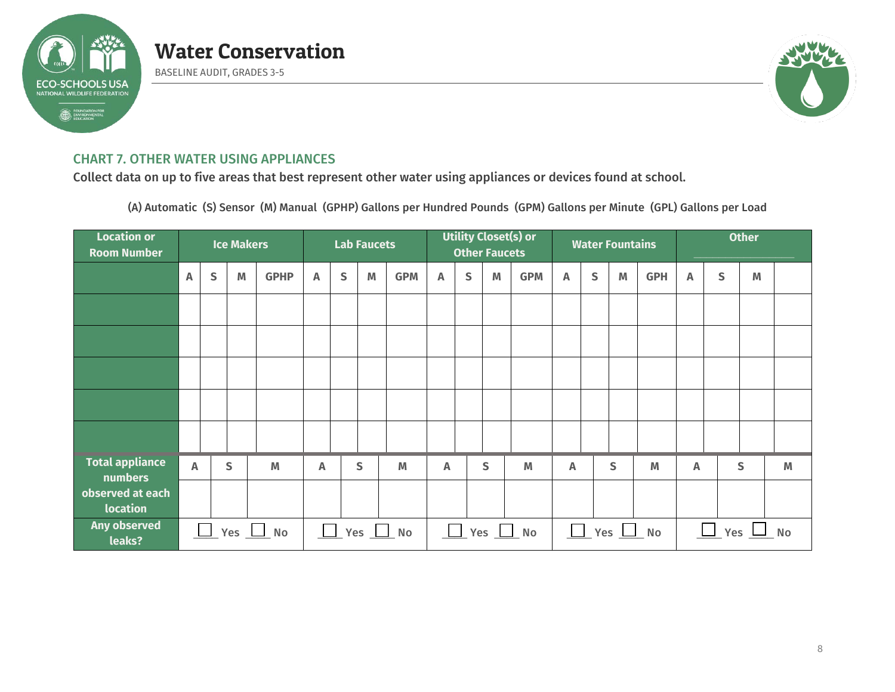

BASELINE AUDIT, GRADES 3-5



#### CHART 7. OTHER WATER USING APPLIANCES

Collect data on up to five areas that best represent other water using appliances or devices found at school.

(A) Automatic (S) Sensor (M) Manual (GPHP) Gallons per Hundred Pounds (GPM) Gallons per Minute (GPL) Gallons per Load

| <b>Location or</b><br><b>Room Number</b> |                         |                                                    | <b>Ice Makers</b> |             | <b>Lab Faucets</b> |   |   |            | <b>Utility Closet(s) or</b><br><b>Other Faucets</b> |   |   |            |                |              | <b>Water Fountains</b> |                              | <b>Other</b>               |   |   |   |
|------------------------------------------|-------------------------|----------------------------------------------------|-------------------|-------------|--------------------|---|---|------------|-----------------------------------------------------|---|---|------------|----------------|--------------|------------------------|------------------------------|----------------------------|---|---|---|
|                                          | A                       | $\mathsf{S}$                                       | M                 | <b>GPHP</b> | $\mathbb A$        | S | M | <b>GPM</b> | $\mathbb A$                                         | S | M | <b>GPM</b> | A              | $\mathsf{S}$ | M                      | <b>GPH</b>                   | $\overline{\mathsf{A}}$    | S | M |   |
|                                          |                         |                                                    |                   |             |                    |   |   |            |                                                     |   |   |            |                |              |                        |                              |                            |   |   |   |
|                                          |                         |                                                    |                   |             |                    |   |   |            |                                                     |   |   |            |                |              |                        |                              |                            |   |   |   |
|                                          |                         |                                                    |                   |             |                    |   |   |            |                                                     |   |   |            |                |              |                        |                              |                            |   |   |   |
|                                          |                         |                                                    |                   |             |                    |   |   |            |                                                     |   |   |            |                |              |                        |                              |                            |   |   |   |
|                                          |                         |                                                    |                   |             |                    |   |   |            |                                                     |   |   |            |                |              |                        |                              |                            |   |   |   |
| <b>Total appliance</b><br>numbers        | $\overline{\mathsf{A}}$ |                                                    | S                 | M           | A                  |   | S | M          | Α                                                   |   | S | M          | $\overline{A}$ |              | S                      | M                            | A                          |   | S | M |
| observed at each<br>location             |                         |                                                    |                   |             |                    |   |   |            |                                                     |   |   |            |                |              |                        |                              |                            |   |   |   |
| <b>Any observed</b><br>leaks?            |                         | $\boxed{\phantom{1}}$ Yes $\boxed{\phantom{1}}$ No |                   |             | $\Box$<br>Yes No   |   |   |            | $\sqrt{ }$ Yes $\sqrt{ }$ No                        |   |   |            |                |              |                        | $\sqrt{2}$ Yes $\sqrt{2}$ No | $\Box$<br>Yes<br><b>No</b> |   |   |   |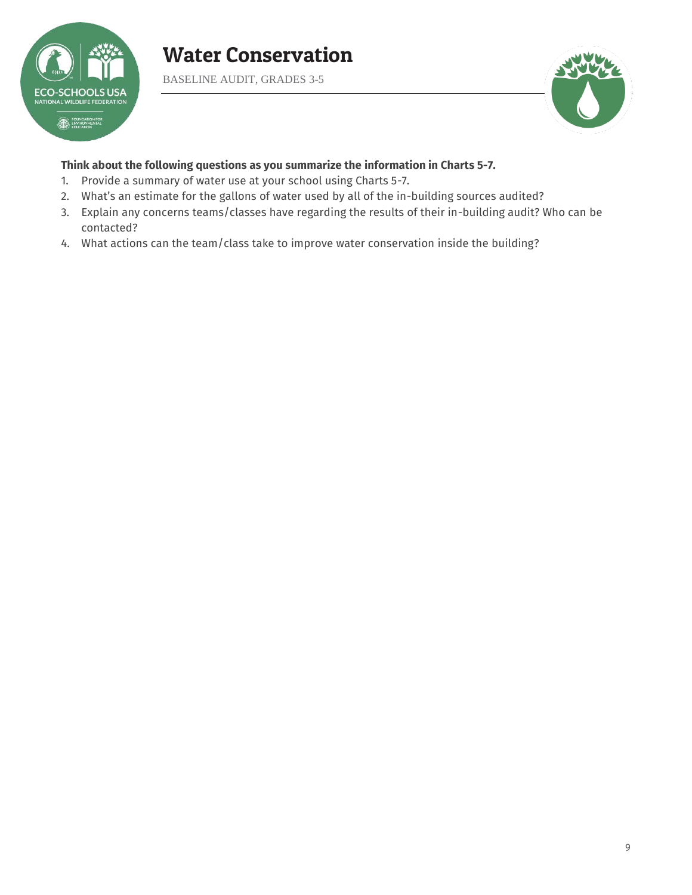

BASELINE AUDIT, GRADES 3-5



#### **Think about the following questions as you summarize the information in Charts 5-7.**

- 1. Provide a summary of water use at your school using Charts 5-7.
- 2. What's an estimate for the gallons of water used by all of the in-building sources audited?
- 3. Explain any concerns teams/classes have regarding the results of their in-building audit? Who can be contacted?
- 4. What actions can the team/class take to improve water conservation inside the building?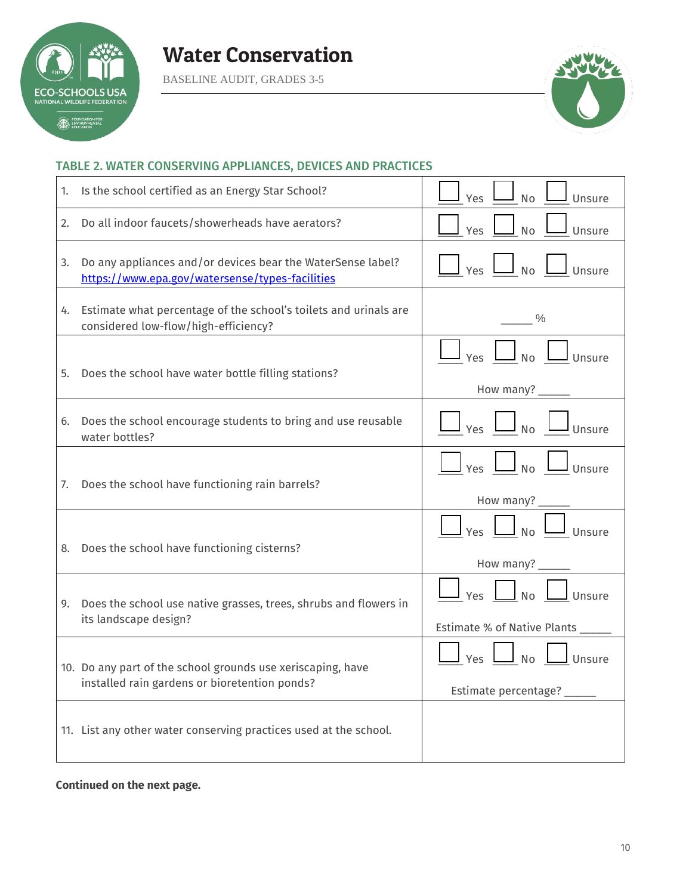

BASELINE AUDIT, GRADES 3-5



#### TABLE 2. WATER CONSERVING APPLIANCES, DEVICES AND PRACTICES

| 1. | Is the school certified as an Energy Star School?                                                              | <b>No</b><br>Unsure<br><b>Yes</b>                                                                             |
|----|----------------------------------------------------------------------------------------------------------------|---------------------------------------------------------------------------------------------------------------|
| 2. | Do all indoor faucets/showerheads have aerators?                                                               | Unsure<br>Yes<br><b>No</b>                                                                                    |
| 3. | Do any appliances and/or devices bear the WaterSense label?<br>https://www.epa.gov/watersense/types-facilities | $\frac{1}{\sqrt{2}}$ Yes $\frac{1}{\sqrt{2}}$ No $\frac{1}{\sqrt{2}}$ Unsure                                  |
|    | 4. Estimate what percentage of the school's toilets and urinals are<br>considered low-flow/high-efficiency?    | $\frac{0}{0}$                                                                                                 |
| 5. | Does the school have water bottle filling stations?                                                            | Yes $\Box$ No $\Box$<br>J Unsure<br>How many? _____                                                           |
| 6. | Does the school encourage students to bring and use reusable<br>water bottles?                                 | $\frac{1}{\sqrt{2}}$ Yes $\underline{\cup}$ No $\underline{\cup}$ Unsure                                      |
| 7. | Does the school have functioning rain barrels?                                                                 | $\Box$ No $\Box$ Unsure<br>How many? _____                                                                    |
|    | 8. Does the school have functioning cisterns?                                                                  | Yes <u>I</u> No <u>I</u> Unsure<br>How many? ______                                                           |
| 9. | Does the school use native grasses, trees, shrubs and flowers in<br>its landscape design?                      | $Yes$ $\Box$ No $\Box$ Unsure<br>Estimate % of Native Plants ______                                           |
|    | 10. Do any part of the school grounds use xeriscaping, have<br>installed rain gardens or bioretention ponds?   | $\frac{1}{\sqrt{2}}$ Yes $\boxed{\phantom{2}}$ No $\boxed{\phantom{2}}$ Unsure<br>Estimate percentage? ______ |
|    | 11. List any other water conserving practices used at the school.                                              |                                                                                                               |

**Continued on the next page.**